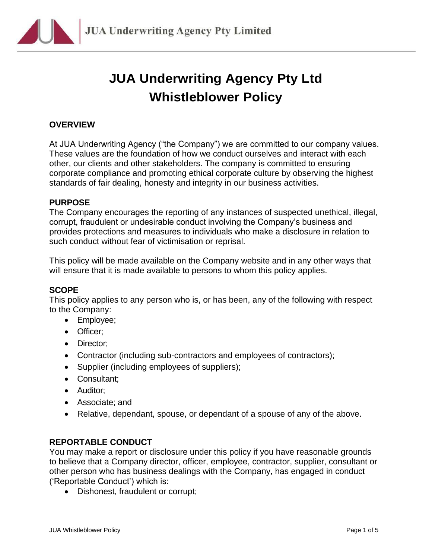

# **JUA Underwriting Agency Pty Ltd Whistleblower Policy**

### **OVERVIEW**

At JUA Underwriting Agency ("the Company") we are committed to our company values. These values are the foundation of how we conduct ourselves and interact with each other, our clients and other stakeholders. The company is committed to ensuring corporate compliance and promoting ethical corporate culture by observing the highest standards of fair dealing, honesty and integrity in our business activities.

### **PURPOSE**

The Company encourages the reporting of any instances of suspected unethical, illegal, corrupt, fraudulent or undesirable conduct involving the Company's business and provides protections and measures to individuals who make a disclosure in relation to such conduct without fear of victimisation or reprisal.

This policy will be made available on the Company website and in any other ways that will ensure that it is made available to persons to whom this policy applies.

### **SCOPE**

This policy applies to any person who is, or has been, any of the following with respect to the Company:

- Employee;
- Officer;
- Director;
- Contractor (including sub-contractors and employees of contractors);
- Supplier (including employees of suppliers);
- Consultant;
- Auditor;
- Associate; and
- Relative, dependant, spouse, or dependant of a spouse of any of the above.

### **REPORTABLE CONDUCT**

You may make a report or disclosure under this policy if you have reasonable grounds to believe that a Company director, officer, employee, contractor, supplier, consultant or other person who has business dealings with the Company, has engaged in conduct ('Reportable Conduct') which is:

• Dishonest, fraudulent or corrupt;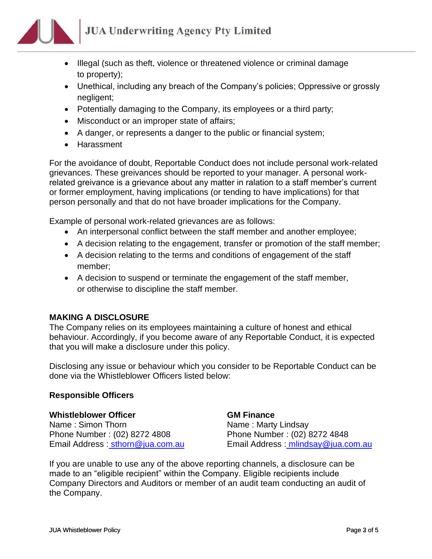## **JUA Underwriting Agency Pty Limited**

- - Illegal (such as theft, violence or threatened violence or criminal damage to property);
	- Unethical, including any breach of the Company's policies; Oppressive or grossly negligent;
	- Potentially damaging to the Company, its employees or a third party;
	- Misconduct or an improper state of affairs;
	- A danger, or represents a danger to the public or financial system;
	- Harassment

For the avoidance of doubt, Reportable Conduct does not include personal work-related grievances. These greivances should be reported to your manager. A personal workrelated greivance is a grievance about any matter in ralation to a staff member's current or former employment, having implications (or tending to have implications) for that person personally and that do not have broader implications for the Company.

Example of personal work-related grievances are as follows:

- An interpersonal conflict between the staff member and another employee;
- A decision relating to the engagement, transfer or promotion of the staff member;
- A decision relating to the terms and conditions of engagement of the staff member;
- A decision to suspend or terminate the engagement of the staff member, or otherwise to discipline the staff member.

### **MAKING A DISCLOSURE**

The Company relies on its employees maintaining a culture of honest and ethical behaviour. Accordingly, if you become aware of any Reportable Conduct, it is expected that you will make a disclosure under this policy.

Disclosing any issue or behaviour which you consider to be Reportable Conduct can be done via the Whistleblower Officers listed below:

### **Responsible Officers**

### **Whistleblower Officer <b>GM Finance**

Name: Simon Thorn Name: Marty Lindsay Phone Number : (02) 8272 4808 Phone Number : (02) 8272 4848

Email Address : sthorn[@jua.com.au](http://jua.com.au/) Email Address : mlindsay@jua.com.au

If you are unable to use any of the above reporting channels, a disclosure can be made to an "eligible recipient" within the Company. Eligible recipients include Company Directors and Auditors or member of an audit team conducting an audit of the Company.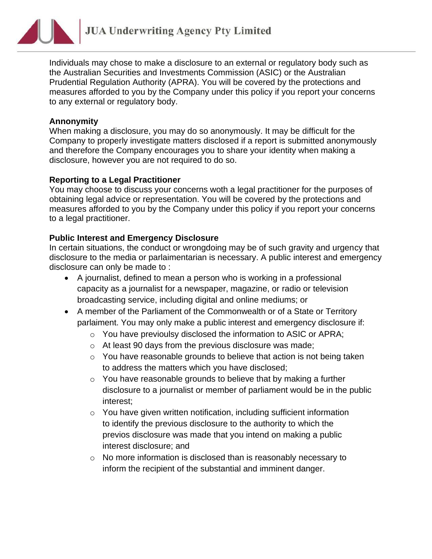# **JUA Underwriting Agency Pty Limited**

Individuals may chose to make a disclosure to an external or regulatory body such as the Australian Securities and Investments Commission (ASIC) or the Australian Prudential Regulation Authority (APRA). You will be covered by the protections and measures afforded to you by the Company under this policy if you report your concerns to any external or regulatory body.

### **Annonymity**

When making a disclosure, you may do so anonymously. It may be difficult for the Company to properly investigate matters disclosed if a report is submitted anonymously and therefore the Company encourages you to share your identity when making a disclosure, however you are not required to do so.

### **Reporting to a Legal Practitioner**

You may choose to discuss your concerns woth a legal practitioner for the purposes of obtaining legal advice or representation. You will be covered by the protections and measures afforded to you by the Company under this policy if you report your concerns to a legal practitioner.

### **Public Interest and Emergency Disclosure**

In certain situations, the conduct or wrongdoing may be of such gravity and urgency that disclosure to the media or parlaimentarian is necessary. A public interest and emergency disclosure can only be made to :

- A journalist, defined to mean a person who is working in a professional capacity as a journalist for a newspaper, magazine, or radio or television broadcasting service, including digital and online mediums; or
- A member of the Parliament of the Commonwealth or of a State or Territory parlaiment. You may only make a public interest and emergency disclosure if:
	- o You have previoulsy disclosed the information to ASIC or APRA;
	- o At least 90 days from the previous disclosure was made;
	- o You have reasonable grounds to believe that action is not being taken to address the matters which you have disclosed;
	- o You have reasonable grounds to believe that by making a further disclosure to a journalist or member of parliament would be in the public interest;
	- o You have given written notification, including sufficient information to identify the previous disclosure to the authority to which the previos disclosure was made that you intend on making a public interest disclosure; and
	- o No more information is disclosed than is reasonably necessary to inform the recipient of the substantial and imminent danger.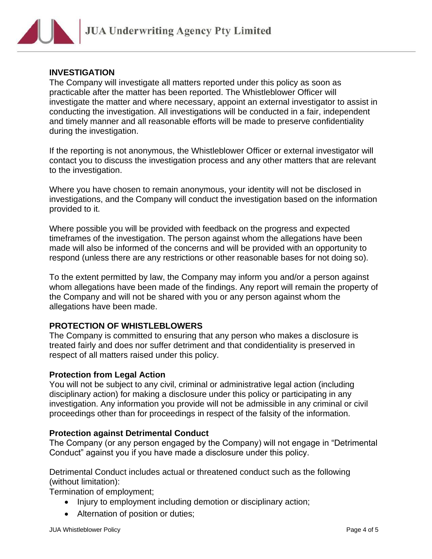

### **INVESTIGATION**

The Company will investigate all matters reported under this policy as soon as practicable after the matter has been reported. The Whistleblower Officer will investigate the matter and where necessary, appoint an external investigator to assist in conducting the investigation. All investigations will be conducted in a fair, independent and timely manner and all reasonable efforts will be made to preserve confidentiality during the investigation.

If the reporting is not anonymous, the Whistleblower Officer or external investigator will contact you to discuss the investigation process and any other matters that are relevant to the investigation.

Where you have chosen to remain anonymous, your identity will not be disclosed in investigations, and the Company will conduct the investigation based on the information provided to it.

Where possible you will be provided with feedback on the progress and expected timeframes of the investigation. The person against whom the allegations have been made will also be informed of the concerns and will be provided with an opportunity to respond (unless there are any restrictions or other reasonable bases for not doing so).

To the extent permitted by law, the Company may inform you and/or a person against whom allegations have been made of the findings. Any report will remain the property of the Company and will not be shared with you or any person against whom the allegations have been made.

### **PROTECTION OF WHISTLEBLOWERS**

The Company is committed to ensuring that any person who makes a disclosure is treated fairly and does nor suffer detriment and that condidentiality is preserved in respect of all matters raised under this policy.

### **Protection from Legal Action**

You will not be subject to any civil, criminal or administrative legal action (including disciplinary action) for making a disclosure under this policy or participating in any investigation. Any information you provide will not be admissible in any criminal or civil proceedings other than for proceedings in respect of the falsity of the information.

### **Protection against Detrimental Conduct**

The Company (or any person engaged by the Company) will not engage in "Detrimental Conduct" against you if you have made a disclosure under this policy.

Detrimental Conduct includes actual or threatened conduct such as the following (without limitation):

Termination of employment;

- Injury to employment including demotion or disciplinary action;
- Alternation of position or duties;